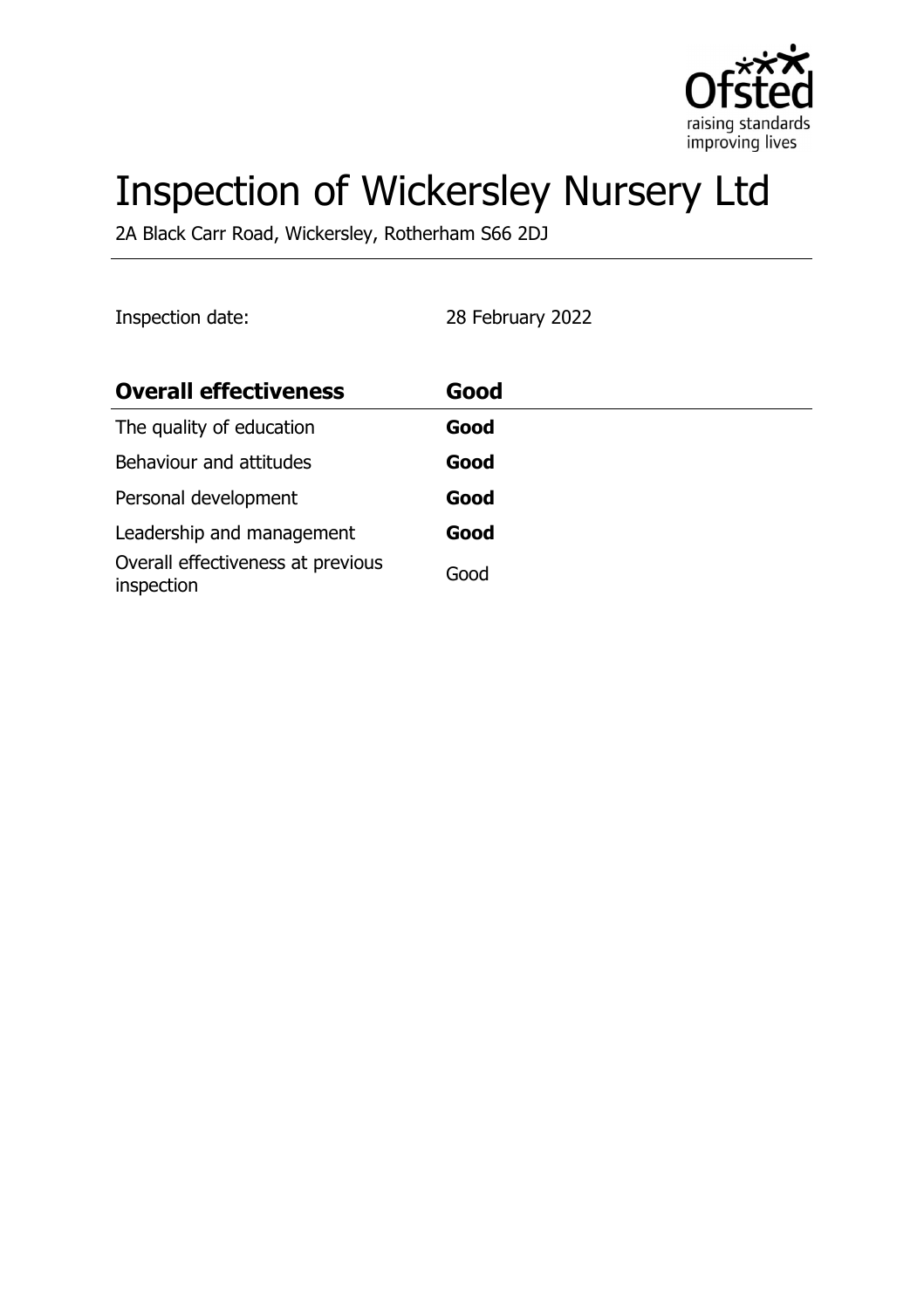

# Inspection of Wickersley Nursery Ltd

2A Black Carr Road, Wickersley, Rotherham S66 2DJ

Inspection date: 28 February 2022

| <b>Overall effectiveness</b>                    | Good |
|-------------------------------------------------|------|
| The quality of education                        | Good |
| Behaviour and attitudes                         | Good |
| Personal development                            | Good |
| Leadership and management                       | Good |
| Overall effectiveness at previous<br>inspection | Good |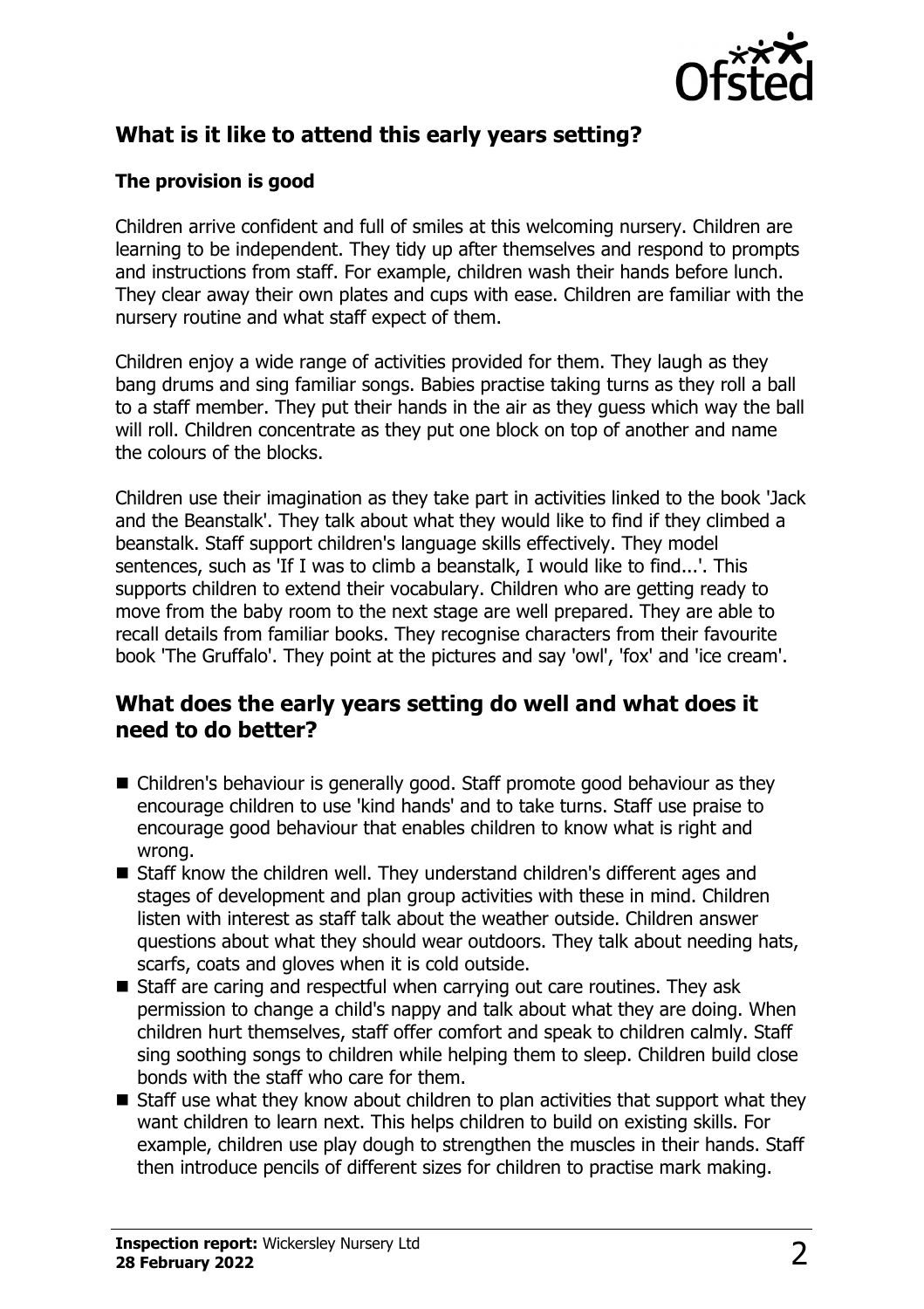

# **What is it like to attend this early years setting?**

#### **The provision is good**

Children arrive confident and full of smiles at this welcoming nursery. Children are learning to be independent. They tidy up after themselves and respond to prompts and instructions from staff. For example, children wash their hands before lunch. They clear away their own plates and cups with ease. Children are familiar with the nursery routine and what staff expect of them.

Children enjoy a wide range of activities provided for them. They laugh as they bang drums and sing familiar songs. Babies practise taking turns as they roll a ball to a staff member. They put their hands in the air as they guess which way the ball will roll. Children concentrate as they put one block on top of another and name the colours of the blocks.

Children use their imagination as they take part in activities linked to the book 'Jack and the Beanstalk'. They talk about what they would like to find if they climbed a beanstalk. Staff support children's language skills effectively. They model sentences, such as 'If I was to climb a beanstalk, I would like to find...'. This supports children to extend their vocabulary. Children who are getting ready to move from the baby room to the next stage are well prepared. They are able to recall details from familiar books. They recognise characters from their favourite book 'The Gruffalo'. They point at the pictures and say 'owl', 'fox' and 'ice cream'.

#### **What does the early years setting do well and what does it need to do better?**

- $\blacksquare$  Children's behaviour is generally good. Staff promote good behaviour as they encourage children to use 'kind hands' and to take turns. Staff use praise to encourage good behaviour that enables children to know what is right and wrong.
- Staff know the children well. They understand children's different ages and stages of development and plan group activities with these in mind. Children listen with interest as staff talk about the weather outside. Children answer questions about what they should wear outdoors. They talk about needing hats, scarfs, coats and gloves when it is cold outside.
- $\blacksquare$  Staff are caring and respectful when carrying out care routines. They ask permission to change a child's nappy and talk about what they are doing. When children hurt themselves, staff offer comfort and speak to children calmly. Staff sing soothing songs to children while helping them to sleep. Children build close bonds with the staff who care for them.
- $\blacksquare$  Staff use what they know about children to plan activities that support what they want children to learn next. This helps children to build on existing skills. For example, children use play dough to strengthen the muscles in their hands. Staff then introduce pencils of different sizes for children to practise mark making.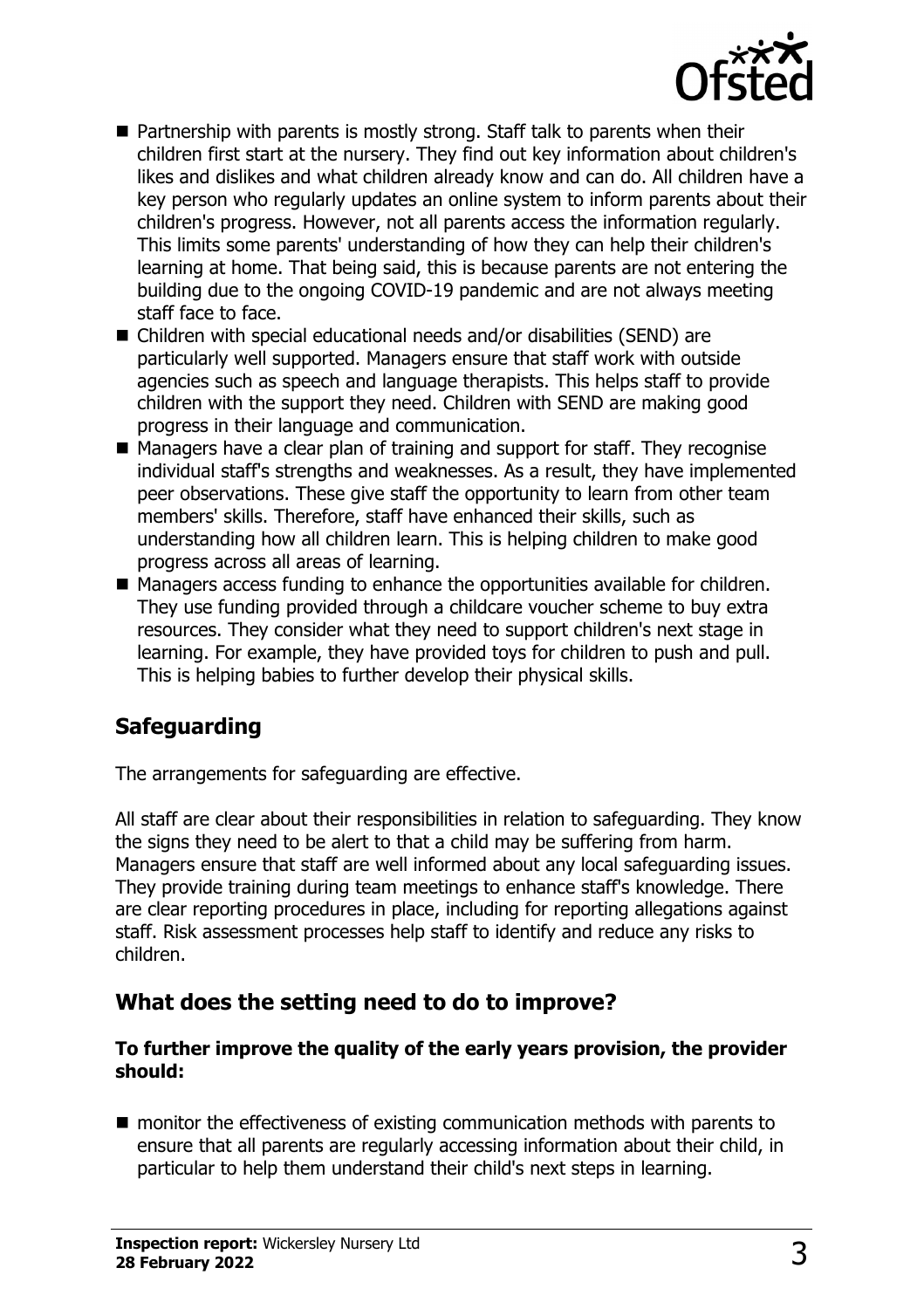

- $\blacksquare$  Partnership with parents is mostly strong. Staff talk to parents when their children first start at the nursery. They find out key information about children's likes and dislikes and what children already know and can do. All children have a key person who regularly updates an online system to inform parents about their children's progress. However, not all parents access the information regularly. This limits some parents' understanding of how they can help their children's learning at home. That being said, this is because parents are not entering the building due to the ongoing COVID-19 pandemic and are not always meeting staff face to face.
- $\blacksquare$  Children with special educational needs and/or disabilities (SEND) are particularly well supported. Managers ensure that staff work with outside agencies such as speech and language therapists. This helps staff to provide children with the support they need. Children with SEND are making good progress in their language and communication.
- $\blacksquare$  Managers have a clear plan of training and support for staff. They recognise individual staff's strengths and weaknesses. As a result, they have implemented peer observations. These give staff the opportunity to learn from other team members' skills. Therefore, staff have enhanced their skills, such as understanding how all children learn. This is helping children to make good progress across all areas of learning.
- $\blacksquare$  Managers access funding to enhance the opportunities available for children. They use funding provided through a childcare voucher scheme to buy extra resources. They consider what they need to support children's next stage in learning. For example, they have provided toys for children to push and pull. This is helping babies to further develop their physical skills.

# **Safeguarding**

The arrangements for safeguarding are effective.

All staff are clear about their responsibilities in relation to safeguarding. They know the signs they need to be alert to that a child may be suffering from harm. Managers ensure that staff are well informed about any local safeguarding issues. They provide training during team meetings to enhance staff's knowledge. There are clear reporting procedures in place, including for reporting allegations against staff. Risk assessment processes help staff to identify and reduce any risks to children.

## **What does the setting need to do to improve?**

#### **To further improve the quality of the early years provision, the provider should:**

 $\blacksquare$  monitor the effectiveness of existing communication methods with parents to ensure that all parents are regularly accessing information about their child, in particular to help them understand their child's next steps in learning.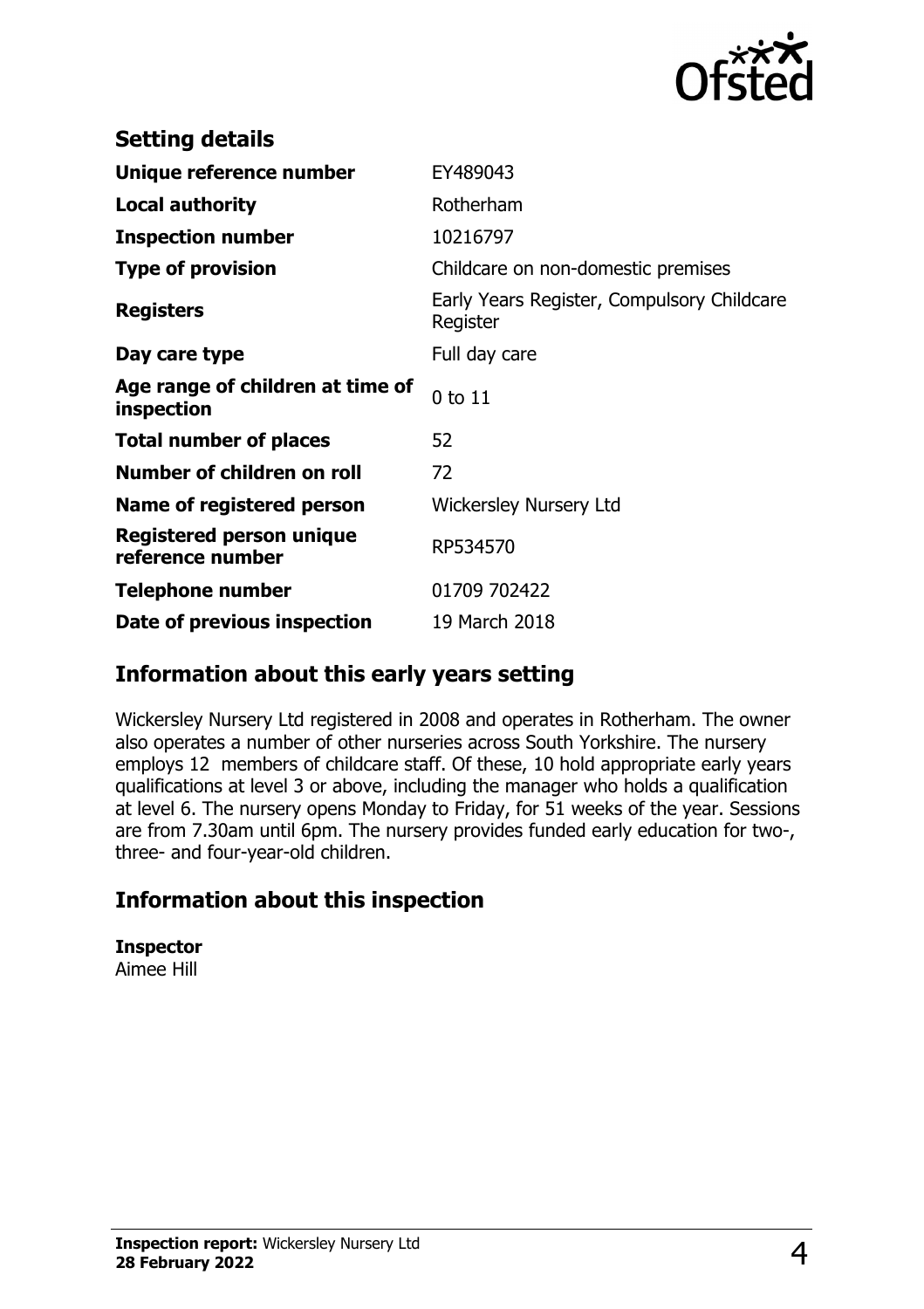

| <b>Setting details</b>                         |                                                        |
|------------------------------------------------|--------------------------------------------------------|
| Unique reference number                        | EY489043                                               |
| <b>Local authority</b>                         | Rotherham                                              |
| <b>Inspection number</b>                       | 10216797                                               |
| <b>Type of provision</b>                       | Childcare on non-domestic premises                     |
| <b>Registers</b>                               | Early Years Register, Compulsory Childcare<br>Register |
| Day care type                                  | Full day care                                          |
| Age range of children at time of<br>inspection | $0$ to $11$                                            |
| <b>Total number of places</b>                  | 52                                                     |
| Number of children on roll                     | 72                                                     |
| Name of registered person                      | <b>Wickersley Nursery Ltd</b>                          |
| Registered person unique<br>reference number   | RP534570                                               |
| Telephone number                               | 01709 702422                                           |
| Date of previous inspection                    | 19 March 2018                                          |

### **Information about this early years setting**

Wickersley Nursery Ltd registered in 2008 and operates in Rotherham. The owner also operates a number of other nurseries across South Yorkshire. The nursery employs 12 members of childcare staff. Of these, 10 hold appropriate early years qualifications at level 3 or above, including the manager who holds a qualification at level 6. The nursery opens Monday to Friday, for 51 weeks of the year. Sessions are from 7.30am until 6pm. The nursery provides funded early education for two-, three- and four-year-old children.

## **Information about this inspection**

**Inspector** Aimee Hill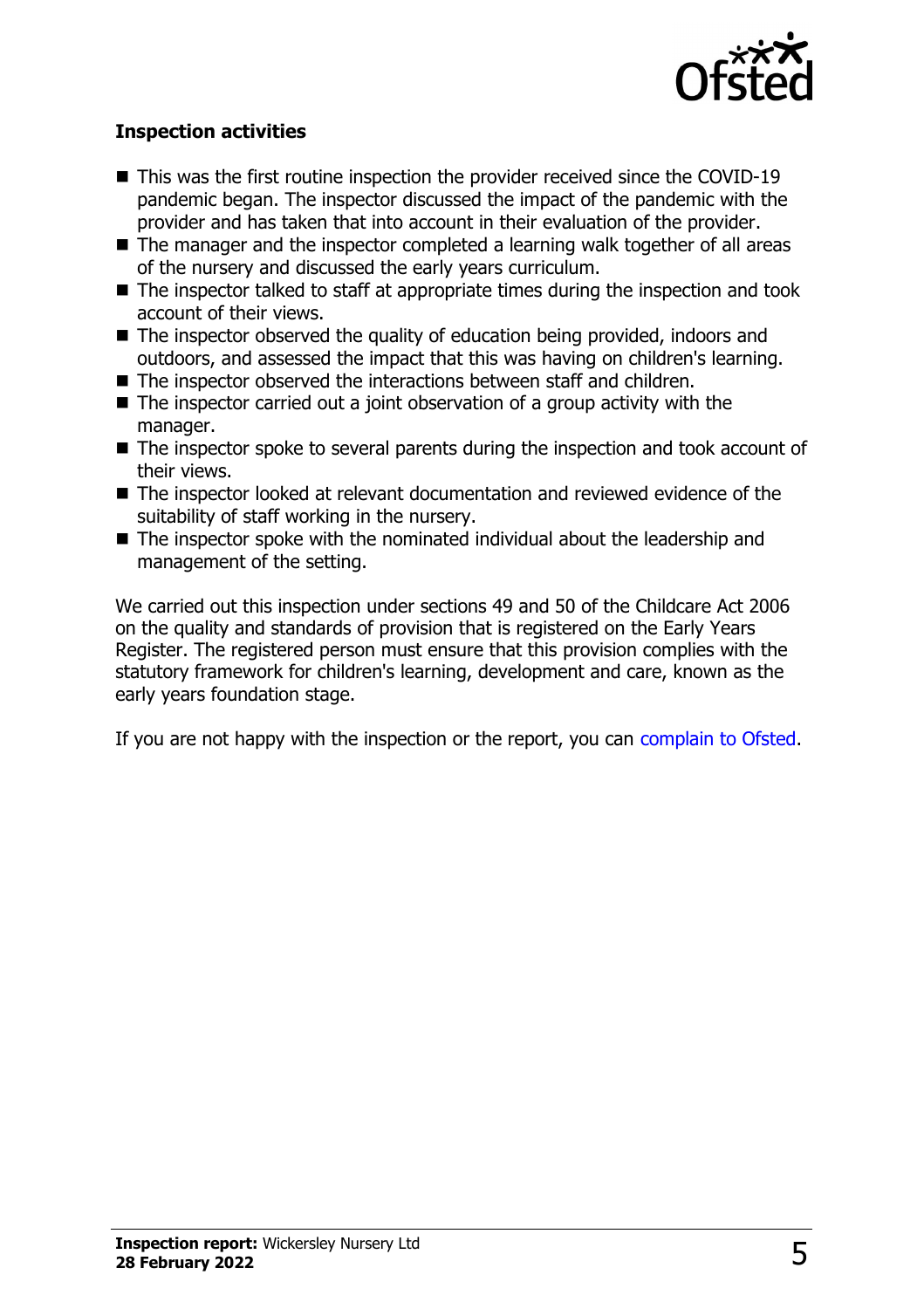

#### **Inspection activities**

- $\blacksquare$  This was the first routine inspection the provider received since the COVID-19 pandemic began. The inspector discussed the impact of the pandemic with the provider and has taken that into account in their evaluation of the provider.
- $\blacksquare$  The manager and the inspector completed a learning walk together of all areas of the nursery and discussed the early years curriculum.
- $\blacksquare$  The inspector talked to staff at appropriate times during the inspection and took account of their views.
- The inspector observed the quality of education being provided, indoors and outdoors, and assessed the impact that this was having on children's learning.
- $\blacksquare$  The inspector observed the interactions between staff and children.
- $\blacksquare$  The inspector carried out a joint observation of a group activity with the manager.
- $\blacksquare$  The inspector spoke to several parents during the inspection and took account of their views.
- $\blacksquare$  The inspector looked at relevant documentation and reviewed evidence of the suitability of staff working in the nursery.
- $\blacksquare$  The inspector spoke with the nominated individual about the leadership and management of the setting.

We carried out this inspection under sections 49 and 50 of the Childcare Act 2006 on the quality and standards of provision that is registered on the Early Years Register. The registered person must ensure that this provision complies with the statutory framework for children's learning, development and care, known as the early years foundation stage.

If you are not happy with the inspection or the report, you can [complain to Ofsted](http://www.gov.uk/complain-ofsted-report).